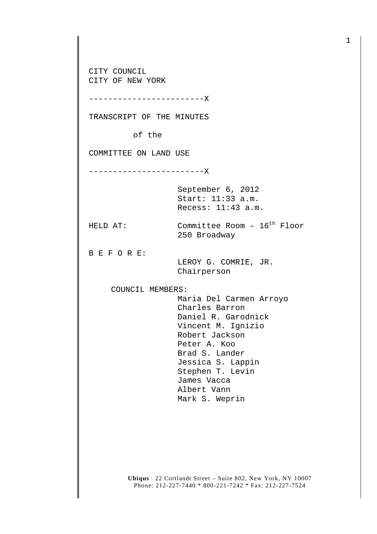**Ubiqus** 22 Cortlandt Street – Suite 802, New York, NY 10007 CITY COUNCIL CITY OF NEW YORK ------------------------X TRANSCRIPT OF THE MINUTES of the COMMITTEE ON LAND USE ------------------------X September 6, 2012 Start: 11:33 a.m. Recess: 11:43 a.m. HELD AT: Committee Room - 16<sup>th</sup> Floor 250 Broadway B E F O R E: LEROY G. COMRIE, JR. Chairperson COUNCIL MEMBERS: Maria Del Carmen Arroyo Charles Barron Daniel R. Garodnick Vincent M. Ignizio Robert Jackson Peter A. Koo Brad S. Lander Jessica S. Lappin Stephen T. Levin James Vacca Albert Vann Mark S. Weprin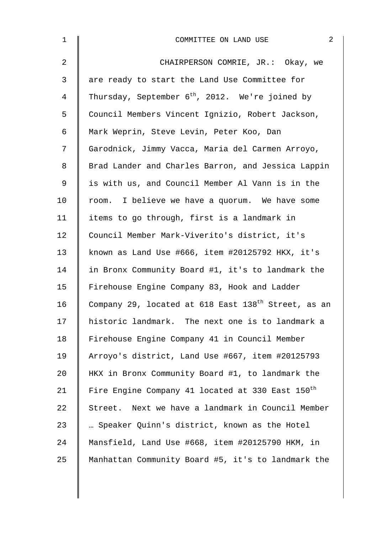| $\mathbf{1}$   | $\overline{2}$<br>COMMITTEE ON LAND USE                         |
|----------------|-----------------------------------------------------------------|
| $\overline{2}$ | CHAIRPERSON COMRIE, JR.: Okay, we                               |
| 3              | are ready to start the Land Use Committee for                   |
| 4              | Thursday, September $6^{th}$ , 2012. We're joined by            |
| 5              | Council Members Vincent Ignizio, Robert Jackson,                |
| 6              | Mark Weprin, Steve Levin, Peter Koo, Dan                        |
| 7              | Garodnick, Jimmy Vacca, Maria del Carmen Arroyo,                |
| 8              | Brad Lander and Charles Barron, and Jessica Lappin              |
| 9              | is with us, and Council Member Al Vann is in the                |
| 10             | room. I believe we have a quorum. We have some                  |
| 11             | items to go through, first is a landmark in                     |
| 12             | Council Member Mark-Viverito's district, it's                   |
| 13             | known as Land Use #666, item #20125792 HKX, it's                |
| 14             | in Bronx Community Board #1, it's to landmark the               |
| 15             | Firehouse Engine Company 83, Hook and Ladder                    |
| 16             | Company 29, located at 618 East 138 <sup>th</sup> Street, as an |
| 17             | historic landmark. The next one is to landmark a                |
| 18             | Firehouse Engine Company 41 in Council Member                   |
| 19             | Arroyo's district, Land Use #667, item #20125793                |
| 20             | HKX in Bronx Community Board #1, to landmark the                |
| 21             | Fire Engine Company 41 located at 330 East 150 <sup>th</sup>    |
| 22             | Street. Next we have a landmark in Council Member               |
| 23             | Speaker Quinn's district, known as the Hotel                    |
| 24             | Mansfield, Land Use #668, item #20125790 HKM, in                |
| 25             | Manhattan Community Board #5, it's to landmark the              |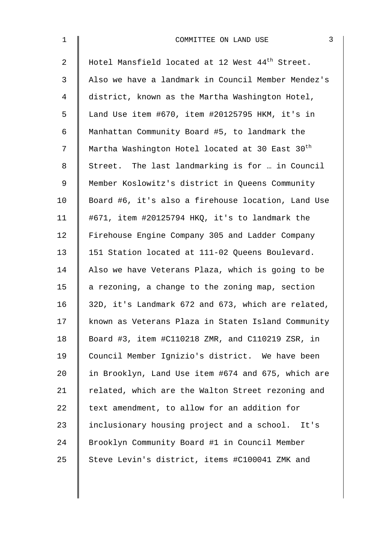| $\mathbf 1$    | 3<br>COMMITTEE ON LAND USE                                  |
|----------------|-------------------------------------------------------------|
| $\overline{2}$ | Hotel Mansfield located at 12 West 44 <sup>th</sup> Street. |
| 3              | Also we have a landmark in Council Member Mendez's          |
| 4              | district, known as the Martha Washington Hotel,             |
| 5              | Land Use item #670, item #20125795 HKM, it's in             |
| 6              | Manhattan Community Board #5, to landmark the               |
| 7              | Martha Washington Hotel located at 30 East 30 <sup>th</sup> |
| 8              | Street. The last landmarking is for  in Council             |
| 9              | Member Koslowitz's district in Queens Community             |
| 10             | Board #6, it's also a firehouse location, Land Use          |
| 11             | #671, item #20125794 HKQ, it's to landmark the              |
| 12             | Firehouse Engine Company 305 and Ladder Company             |
| 13             | 151 Station located at 111-02 Queens Boulevard.             |
| 14             | Also we have Veterans Plaza, which is going to be           |
| 15             | a rezoning, a change to the zoning map, section             |
| 16             | 32D, it's Landmark 672 and 673, which are related,          |
| 17             | known as Veterans Plaza in Staten Island Community          |
| 18             | Board #3, item #C110218 ZMR, and C110219 ZSR, in            |
| 19             | Council Member Ignizio's district. We have been             |
| 20             | in Brooklyn, Land Use item #674 and 675, which are          |
| 21             | related, which are the Walton Street rezoning and           |
| 22             | text amendment, to allow for an addition for                |
| 23             | inclusionary housing project and a school. It's             |
| 24             | Brooklyn Community Board #1 in Council Member               |
| 25             | Steve Levin's district, items #C100041 ZMK and              |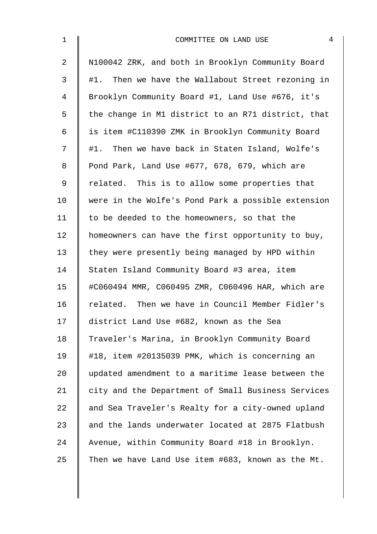| $\mathbf 1$    | 4<br>COMMITTEE ON LAND USE                         |
|----------------|----------------------------------------------------|
| $\overline{2}$ | N100042 ZRK, and both in Brooklyn Community Board  |
| 3              | #1. Then we have the Wallabout Street rezoning in  |
| 4              | Brooklyn Community Board #1, Land Use #676, it's   |
| 5              | the change in M1 district to an R71 district, that |
| 6              | is item #C110390 ZMK in Brooklyn Community Board   |
| 7              | #1. Then we have back in Staten Island, Wolfe's    |
| 8              | Pond Park, Land Use #677, 678, 679, which are      |
| 9              | related. This is to allow some properties that     |
| 10             | were in the Wolfe's Pond Park a possible extension |
| 11             | to be deeded to the homeowners, so that the        |
| 12             | homeowners can have the first opportunity to buy,  |
| 13             | they were presently being managed by HPD within    |
| 14             | Staten Island Community Board #3 area, item        |
| 15             | #C060494 MMR, C060495 ZMR, C060496 HAR, which are  |
| 16             | related. Then we have in Council Member Fidler's   |
| 17             | district Land Use #682, known as the Sea           |
| 18             | Traveler's Marina, in Brooklyn Community Board     |
| 19             | #18, item #20135039 PMK, which is concerning an    |
| 20             | updated amendment to a maritime lease between the  |
| 21             | city and the Department of Small Business Services |
| 22             | and Sea Traveler's Realty for a city-owned upland  |
| 23             | and the lands underwater located at 2875 Flatbush  |
| 24             | Avenue, within Community Board #18 in Brooklyn.    |
| 25             | Then we have Land Use item #683, known as the Mt.  |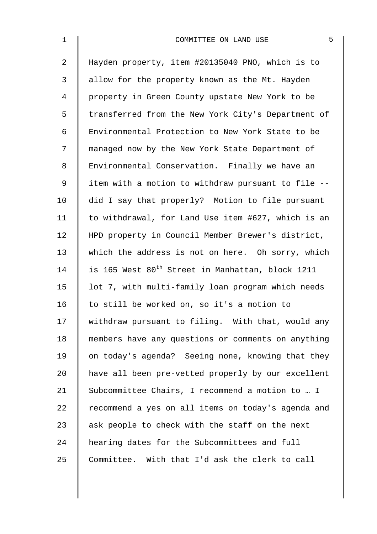| $\mathbf{1}$   | 5<br>COMMITTEE ON LAND USE                                   |
|----------------|--------------------------------------------------------------|
| $\overline{a}$ | Hayden property, item #20135040 PNO, which is to             |
| 3              | allow for the property known as the Mt. Hayden               |
| 4              | property in Green County upstate New York to be              |
| 5              | transferred from the New York City's Department of           |
| 6              | Environmental Protection to New York State to be             |
| 7              | managed now by the New York State Department of              |
| 8              | Environmental Conservation. Finally we have an               |
| 9              | item with a motion to withdraw pursuant to file --           |
| 10             | did I say that properly? Motion to file pursuant             |
| 11             | to withdrawal, for Land Use item #627, which is an           |
| 12             | HPD property in Council Member Brewer's district,            |
| 13             | which the address is not on here. Oh sorry, which            |
| 14             | is 165 West 80 <sup>th</sup> Street in Manhattan, block 1211 |
| 15             | lot 7, with multi-family loan program which needs            |
| 16             | to still be worked on, so it's a motion to                   |
| 17             | withdraw pursuant to filing. With that, would any            |
| 18             | members have any questions or comments on anything           |
| 19             | on today's agenda? Seeing none, knowing that they            |
| 20             | have all been pre-vetted properly by our excellent           |
| 21             | Subcommittee Chairs, I recommend a motion to  I              |
| 22             | recommend a yes on all items on today's agenda and           |
| 23             | ask people to check with the staff on the next               |
| 24             | hearing dates for the Subcommittees and full                 |
| 25             | Committee. With that I'd ask the clerk to call               |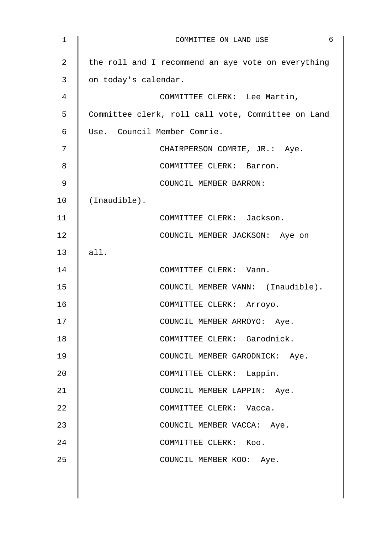| $\mathbf 1$    | 6<br>COMMITTEE ON LAND USE                         |
|----------------|----------------------------------------------------|
| $\overline{2}$ | the roll and I recommend an aye vote on everything |
| 3              | on today's calendar.                               |
| 4              | COMMITTEE CLERK: Lee Martin,                       |
| 5              | Committee clerk, roll call vote, Committee on Land |
| 6              | Use. Council Member Comrie.                        |
| 7              | CHAIRPERSON COMRIE, JR.: Aye.                      |
| 8              | COMMITTEE CLERK: Barron.                           |
| 9              | COUNCIL MEMBER BARRON:                             |
| 10             | (Inaudible).                                       |
| 11             | COMMITTEE CLERK: Jackson.                          |
| 12             | COUNCIL MEMBER JACKSON: Aye on                     |
| 13             | all.                                               |
| 14             | COMMITTEE CLERK: Vann.                             |
| 15             | COUNCIL MEMBER VANN: (Inaudible).                  |
| 16             | COMMITTEE CLERK: Arroyo.                           |
| 17             | COUNCIL MEMBER ARROYO: Aye.                        |
| 18             | COMMITTEE CLERK: Garodnick.                        |
| 19             | COUNCIL MEMBER GARODNICK: Aye.                     |
| 20             | COMMITTEE CLERK: Lappin.                           |
| 21             | COUNCIL MEMBER LAPPIN: Aye.                        |
| 22             | COMMITTEE CLERK: Vacca.                            |
| 23             | COUNCIL MEMBER VACCA: Aye.                         |
| 24             | COMMITTEE CLERK: Koo.                              |
| 25             | COUNCIL MEMBER KOO: Aye.                           |
|                |                                                    |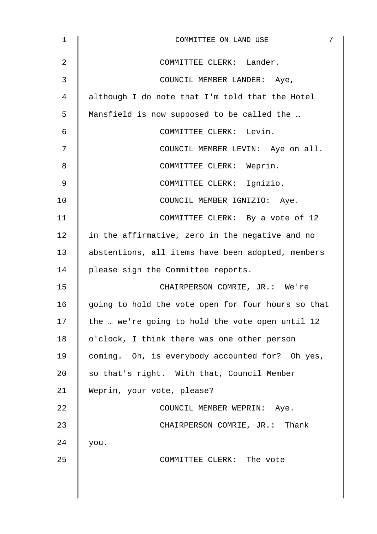| $\mathbf 1$ | 7<br>COMMITTEE ON LAND USE                         |
|-------------|----------------------------------------------------|
| 2           | COMMITTEE CLERK: Lander.                           |
| 3           | COUNCIL MEMBER LANDER: Aye,                        |
| 4           | although I do note that I'm told that the Hotel    |
| 5           | Mansfield is now supposed to be called the         |
| 6           | COMMITTEE CLERK: Levin.                            |
| 7           | COUNCIL MEMBER LEVIN: Aye on all.                  |
| 8           | COMMITTEE CLERK: Weprin.                           |
| 9           | COMMITTEE CLERK: Ignizio.                          |
| 10          | COUNCIL MEMBER IGNIZIO: Aye.                       |
| 11          | COMMITTEE CLERK: By a vote of 12                   |
| 12          | in the affirmative, zero in the negative and no    |
| 13          | abstentions, all items have been adopted, members  |
| 14          | please sign the Committee reports.                 |
| 15          | CHAIRPERSON COMRIE, JR.: We're                     |
| 16          | going to hold the vote open for four hours so that |
| 17          | the  we're going to hold the vote open until 12    |
| 18          | o'clock, I think there was one other person        |
| 19          | coming. Oh, is everybody accounted for? Oh yes,    |
| 20          | so that's right. With that, Council Member         |
| 21          | Weprin, your vote, please?                         |
| 22          | COUNCIL MEMBER WEPRIN: Aye.                        |
| 23          | CHAIRPERSON COMRIE, JR.: Thank                     |
| 24          | you.                                               |
| 25          | COMMITTEE CLERK: The vote                          |
|             |                                                    |
|             |                                                    |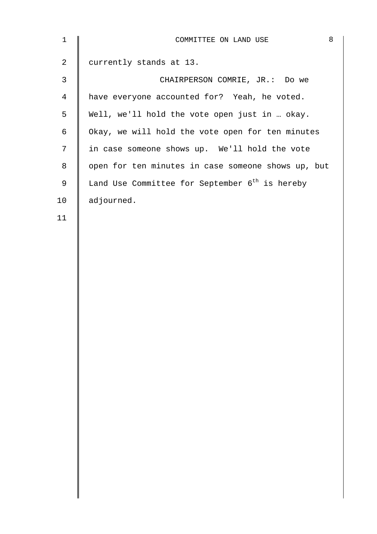| $\mathbf 1$    | 8<br>COMMITTEE ON LAND USE                                 |
|----------------|------------------------------------------------------------|
| $\overline{a}$ | currently stands at 13.                                    |
| 3              | CHAIRPERSON COMRIE, JR.: Do we                             |
| 4              | have everyone accounted for? Yeah, he voted.               |
| 5              | Well, we'll hold the vote open just in  okay.              |
| 6              | Okay, we will hold the vote open for ten minutes           |
| 7              | in case someone shows up. We'll hold the vote              |
| 8              | open for ten minutes in case someone shows up, but         |
| 9              | Land Use Committee for September 6 <sup>th</sup> is hereby |
| 10             | adjourned.                                                 |
| 11             |                                                            |
|                |                                                            |
|                |                                                            |
|                |                                                            |
|                |                                                            |

11